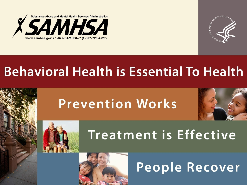



### **Behavioral Health is Essential To Health**

## **Prevention Works**





### **Treatment is Effective**

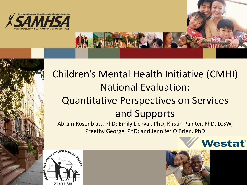

#### Children's Mental Health Initiative (CMHI) National Evaluation: Quantitative Perspectives on Services and Supports

Abram Rosenblatt, PhD; Emily Lichvar, PhD; Kirstin Painter, PhD, LCSW; Preethy George, PhD; and Jennifer O'Brien, PhD





Westat®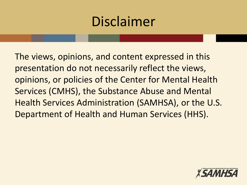## Disclaimer

The views, opinions, and content expressed in this presentation do not necessarily reflect the views, opinions, or policies of the Center for Mental Health Services (CMHS), the Substance Abuse and Mental Health Services Administration (SAMHSA), or the U.S. Department of Health and Human Services (HHS).

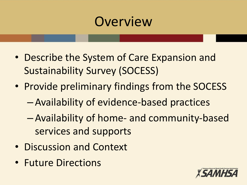## **Overview**

- Describe the System of Care Expansion and Sustainability Survey (SOCESS)
- Provide preliminary findings from the SOCESS
	- Availability of evidence-based practices
	- Availability of home- and community-based services and supports
- Discussion and Context
- Future Directions

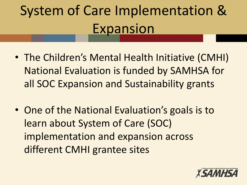# System of Care Implementation & **Expansion**

- The Children's Mental Health Initiative (CMHI) National Evaluation is funded by SAMHSA for all SOC Expansion and Sustainability grants
- One of the National Evaluation's goals is to learn about System of Care (SOC) implementation and expansion across different CMHI grantee sites

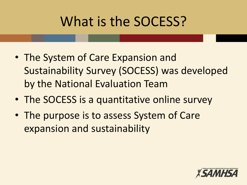## What is the SOCESS?

- The System of Care Expansion and Sustainability Survey (SOCESS) was developed by the National Evaluation Team
- The SOCESS is a quantitative online survey
- The purpose is to assess System of Care expansion and sustainability

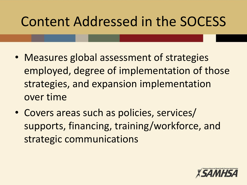## Content Addressed in the SOCESS

- Measures global assessment of strategies employed, degree of implementation of those strategies, and expansion implementation over time
- Covers areas such as policies, services/ supports, financing, training/workforce, and strategic communications

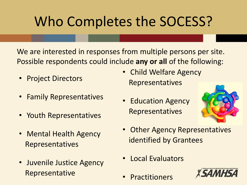## Who Completes the SOCESS?

We are interested in responses from multiple persons per site. Possible respondents could include **any or all** of the following:

- Project Directors
- Family Representatives
- Youth Representatives
- Mental Health Agency Representatives
- Juvenile Justice Agency Representative
- Child Welfare Agency Representatives
- Education Agency Representatives



- Other Agency Representatives identified by Grantees
- Local Evaluators
- **Practitioners**

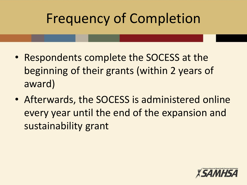## Frequency of Completion

- Respondents complete the SOCESS at the beginning of their grants (within 2 years of award)
- Afterwards, the SOCESS is administered online every year until the end of the expansion and sustainability grant

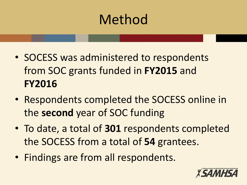## Method

- SOCESS was administered to respondents from SOC grants funded in **FY2015** and **FY2016**
- Respondents completed the SOCESS online in the **second** year of SOC funding
- To date, a total of **301** respondents completed the SOCESS from a total of **54** grantees.
- Findings are from all respondents.

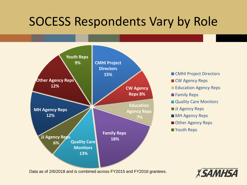#### SOCESS Respondents Vary by Role



**CMHI Project Directors** 

- **CW Agency Reps**
- Education Agency Reps
- **Family Reps**
- **Quality Care Monitors**
- **JJ Agency Reps**
- **MH Agency Reps**
- Other Agency Reps
- **Nouth Reps**

Data as of 2/6/2018 and is combined across FY2015 and FY2016 grantees.

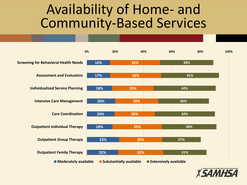#### Availability of Home- and Community-Based Services



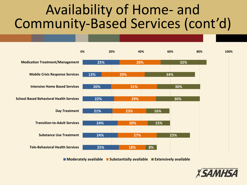### Availability of Home- and Community-Based Services (cont'd)



**Moderately available Substantially available Extensively available**

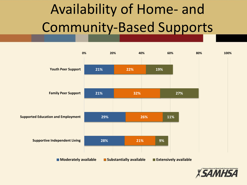# Availability of Home- and Community-Based Supports



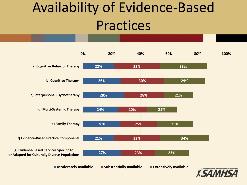## Availability of Evidence-Based Practices



**Moderately available Substantially available Extensively available**

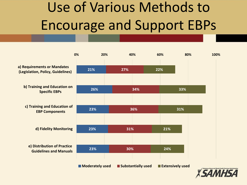# Use of Various Methods to Encourage and Support EBPs



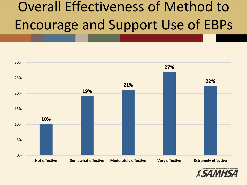## Overall Effectiveness of Method to Encourage and Support Use of EBPs



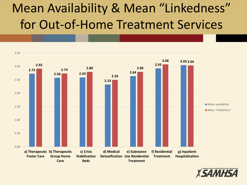## Mean Availability & Mean "Linkedness" for Out-of-Home Treatment Services



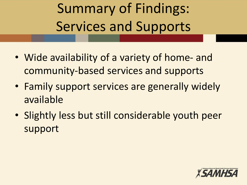Summary of Findings: Services and Supports

- Wide availability of a variety of home- and community-based services and supports
- Family support services are generally widely available
- Slightly less but still considerable youth peer support

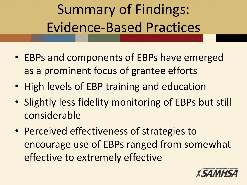# Summary of Findings: Evidence-Based Practices

- EBPs and components of EBPs have emerged as a prominent focus of grantee efforts
- High levels of EBP training and education
- Slightly less fidelity monitoring of EBPs but still considerable
- Perceived effectiveness of strategies to encourage use of EBPs ranged from somewhat effective to extremely effective

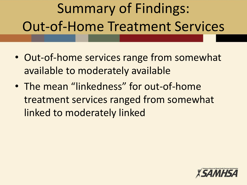# Summary of Findings: Out-of-Home Treatment Services

- Out-of-home services range from somewhat available to moderately available
- The mean "linkedness" for out-of-home treatment services ranged from somewhat linked to moderately linked

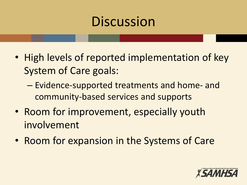## **Discussion**

- High levels of reported implementation of key System of Care goals:
	- Evidence-supported treatments and home- and community-based services and supports
- Room for improvement, especially youth involvement
- Room for expansion in the Systems of Care

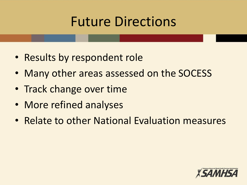## Future Directions

- Results by respondent role
- Many other areas assessed on the SOCESS
- Track change over time
- More refined analyses
- Relate to other National Evaluation measures